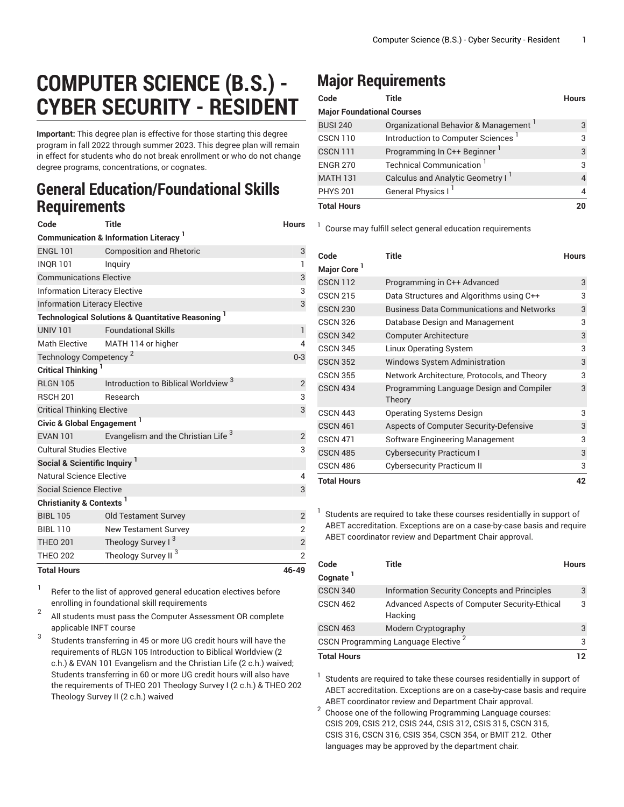## **COMPUTER SCIENCE (B.S.) - CYBER SECURITY - RESIDENT**

**Important:** This degree plan is effective for those starting this degree program in fall 2022 through summer 2023. This degree plan will remain in effect for students who do not break enrollment or who do not change degree programs, concentrations, or cognates.

## **General Education/Foundational Skills Requirements**

| Code                                     | <b>Title</b>                                                             | <b>Hours</b>   |
|------------------------------------------|--------------------------------------------------------------------------|----------------|
|                                          | <b>Communication &amp; Information Literacy</b> <sup>1</sup>             |                |
| <b>ENGL 101</b>                          | <b>Composition and Rhetoric</b>                                          | 3              |
| <b>INOR 101</b>                          | Inguiry                                                                  | 1              |
| <b>Communications Elective</b>           |                                                                          | 3              |
| <b>Information Literacy Elective</b>     |                                                                          | 3              |
| <b>Information Literacy Elective</b>     |                                                                          | 3              |
|                                          | <b>Technological Solutions &amp; Quantitative Reasoning</b> <sup>1</sup> |                |
| <b>UNIV 101</b>                          | <b>Foundational Skills</b>                                               | $\mathbf{1}$   |
| <b>Math Elective</b>                     | MATH 114 or higher                                                       | 4              |
| Technology Competency <sup>2</sup>       |                                                                          | $0 - 3$        |
| <b>Critical Thinking</b>                 |                                                                          |                |
| <b>RLGN 105</b>                          | Introduction to Biblical Worldview <sup>3</sup>                          | $\overline{2}$ |
| <b>RSCH 201</b>                          | Research                                                                 | 3              |
| <b>Critical Thinking Elective</b>        |                                                                          | 3              |
| Civic & Global Engagement <sup>1</sup>   |                                                                          |                |
| <b>EVAN 101</b>                          | Evangelism and the Christian Life <sup>3</sup>                           | 2              |
| <b>Cultural Studies Elective</b>         |                                                                          | 3              |
| Social & Scientific Inquiry <sup>1</sup> |                                                                          |                |
| Natural Science Elective                 |                                                                          | 4              |
| <b>Social Science Elective</b>           |                                                                          | 3              |
| Christianity & Contexts <sup>1</sup>     |                                                                          |                |
| <b>BIBL 105</b>                          | <b>Old Testament Survey</b>                                              | $\overline{2}$ |
| <b>BIBL 110</b>                          | <b>New Testament Survey</b>                                              | $\overline{2}$ |
| <b>THEO 201</b>                          | Theology Survey I <sup>3</sup>                                           | $\overline{2}$ |
| <b>THEO 202</b>                          | Theology Survey II <sup>3</sup>                                          | $\overline{2}$ |
| <b>Total Hours</b>                       |                                                                          | 46-49          |

1 Refer to the list of approved general [education](https://www.liberty.edu/gened/) electives before enrolling in foundational skill requirements

2 All students must pass the [Computer Assessment](https://www.liberty.edu/computerassessment/) OR complete applicable INFT course

3 Students transferring in 45 or more UG credit hours will have the requirements of RLGN 105 Introduction to Biblical Worldview (2 c.h.) & EVAN 101 Evangelism and the Christian Life (2 c.h.) waived; Students transferring in 60 or more UG credit hours will also have the requirements of THEO 201 Theology Survey I (2 c.h.) & THEO 202 Theology Survey II (2 c.h.) waived

## **Major Requirements**

| Code                              | Title                                | <b>Hours</b> |
|-----------------------------------|--------------------------------------|--------------|
| <b>Major Foundational Courses</b> |                                      |              |
| <b>BUSI 240</b>                   | Organizational Behavior & Management | 3            |
| <b>CSCN 110</b>                   | Introduction to Computer Sciences    | 3            |
| <b>CSCN 111</b>                   | Programming In C++ Beginner          | 3            |
| <b>ENGR 270</b>                   | <b>Technical Communication</b>       | 3            |
| <b>MATH 131</b>                   | Calculus and Analytic Geometry I     |              |
| <b>PHYS 201</b>                   | <b>General Physics I</b>             |              |
| <b>Total Hours</b>                |                                      |              |

<sup>1</sup> Course may fulfill select general education [requirements](http://www.liberty.edu/academics/generalstudies/?PID=37563)

| Code                    | Title                                              | <b>Hours</b> |
|-------------------------|----------------------------------------------------|--------------|
| Major Core <sup>1</sup> |                                                    |              |
| <b>CSCN 112</b>         | Programming in C++ Advanced                        | 3            |
| <b>CSCN 215</b>         | Data Structures and Algorithms using C++           | 3            |
| <b>CSCN 230</b>         | <b>Business Data Communications and Networks</b>   | 3            |
| <b>CSCN 326</b>         | Database Design and Management                     | 3            |
| <b>CSCN 342</b>         | <b>Computer Architecture</b>                       | 3            |
| <b>CSCN 345</b>         | Linux Operating System                             | 3            |
| <b>CSCN 352</b>         | <b>Windows System Administration</b>               | 3            |
| <b>CSCN 355</b>         | Network Architecture, Protocols, and Theory        | 3            |
| <b>CSCN 434</b>         | Programming Language Design and Compiler<br>Theory | 3            |
| <b>CSCN 443</b>         | <b>Operating Systems Design</b>                    | 3            |
| <b>CSCN 461</b>         | Aspects of Computer Security-Defensive             | 3            |
| <b>CSCN 471</b>         | Software Engineering Management                    | 3            |
| <b>CSCN 485</b>         | <b>Cybersecurity Practicum I</b>                   | 3            |
| <b>CSCN 486</b>         | Cybersecurity Practicum II                         | 3            |
| <b>Total Hours</b>      |                                                    | 42           |

Students are required to take these courses residentially in support of ABET accreditation. Exceptions are on a case-by-case basis and require ABET coordinator review and Department Chair approval.

1

| Code<br>Cognate <sup>1</sup> | Title                                                    | <b>Hours</b> |
|------------------------------|----------------------------------------------------------|--------------|
| <b>CSCN 340</b>              | Information Security Concepts and Principles             | 3            |
| <b>CSCN 462</b>              | Advanced Aspects of Computer Security-Ethical<br>Hacking | 3            |
| <b>CSCN 463</b>              | Modern Cryptography                                      | 3            |
|                              | CSCN Programming Language Elective <sup>2</sup>          | 3            |
| <b>Total Hours</b>           |                                                          | 12           |

 $1$  Students are required to take these courses residentially in support of ABET accreditation. Exceptions are on a case-by-case basis and require ABET coordinator review and Department Chair approval.

 $2$  Choose one of the following Programming Language courses: CSIS 209, CSIS 212, CSIS 244, CSIS 312, CSIS 315, CSCN 315, CSIS 316, CSCN 316, CSIS 354, CSCN 354, or BMIT 212. Other languages may be approved by the department chair.